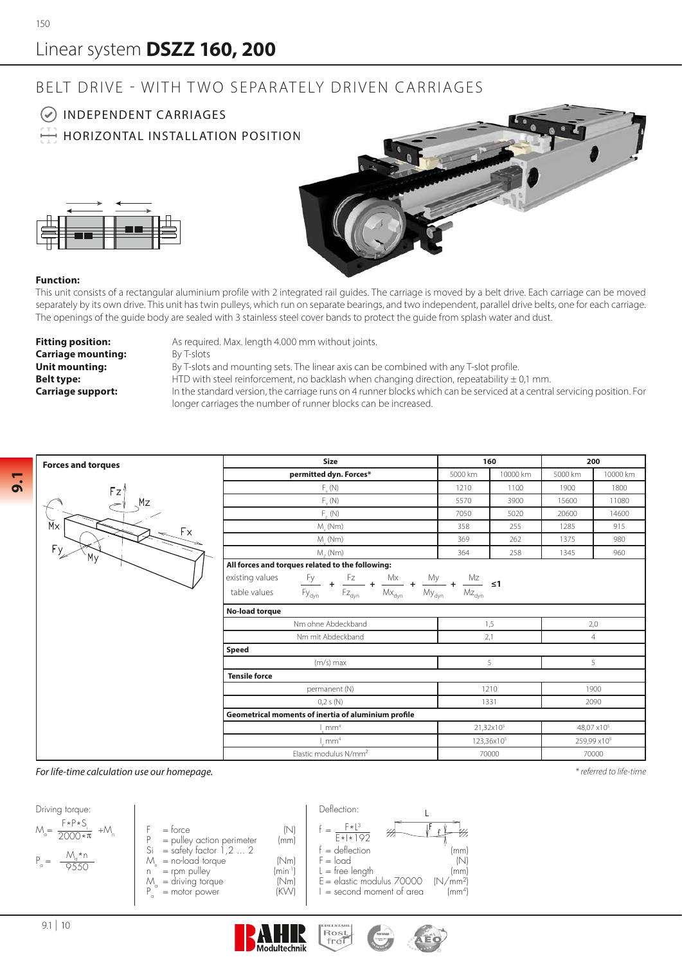## Linear system **DSZZ 160, 200**

## BELT DRIVE - WITH TWO SEPARATELY DRIVEN CARRIAGES



**9.1**

This unit consists of a rectangular aluminium profile with 2 integrated rail guides. The carriage is moved by a belt drive. Each carriage can be moved separately by its own drive. This unit has twin pulleys, which run on separate bearings, and two independent, parallel drive belts, one for each carriage. The openings of the guide body are sealed with 3 stainless steel cover bands to protect the guide from splash water and dust.

**Carriage mounting:** By T-slots<br>**Unit mounting:** By T-slots

**Fitting position:** As required. Max. length 4.000 mm without joints.

By T-slots and mounting sets. The linear axis can be combined with any T-slot profile. **Belt type:** HTD with steel reinforcement, no backlash when changing direction, repeatability  $\pm$  0,1 mm. **Carriage support:** In the standard version, the carriage runs on 4 runner blocks which can be serviced at a central servicing position. For longer carriages the number of runner blocks can be increased.

| <b>Forces and torques</b>     | <b>Size</b>                                                                                              |                        |          |                         |          |  |
|-------------------------------|----------------------------------------------------------------------------------------------------------|------------------------|----------|-------------------------|----------|--|
|                               |                                                                                                          | 160                    |          | 200                     |          |  |
|                               | permitted dyn. Forces*                                                                                   | 5000 km                | 10000 km | 5000 km                 | 10000 km |  |
| Fz'<br>Mz<br>$M \times$<br>Fx | $F_{v}(N)$                                                                                               | 1210                   | 1100     | 1900                    | 1800     |  |
|                               | $F_{v}(N)$                                                                                               | 5570                   | 3900     | 15600                   | 11080    |  |
|                               | $F_{\alpha}(N)$                                                                                          | 7050                   | 5020     | 20600                   | 14600    |  |
|                               | $M_{.}$ (Nm)                                                                                             | 358                    | 255      | 1285                    | 915      |  |
|                               | $M_{\ldots}$ (Nm)                                                                                        | 369                    | 262      | 1375                    | 980      |  |
| Fy<br>My                      | $M7$ (Nm)                                                                                                | 364                    | 258      | 1345                    | 960      |  |
|                               | All forces and torques related to the following:                                                         |                        |          |                         |          |  |
|                               | existing values<br>$\frac{Fy}{y}$ + $\frac{Fz}{z}$ + $\frac{Mx}{x}$ + $\frac{My}{x}$ + $\frac{Mz}{z}$ ≤1 |                        |          |                         |          |  |
|                               | $Mz_{dyn}$<br>table values<br>$Fy_{dyn}$ $Fz_{dyn}$<br>$My_{dyn}$<br>$Mx_{\text{dyn}}$                   |                        |          |                         |          |  |
|                               | No-load torque                                                                                           |                        |          |                         |          |  |
|                               | Nm ohne Abdeckband                                                                                       | 1,5                    |          | 2,0                     |          |  |
|                               | Nm mit Abdeckband                                                                                        | 2,1                    |          | 4                       |          |  |
|                               | Speed                                                                                                    |                        |          |                         |          |  |
|                               | $(m/s)$ max                                                                                              | 5                      |          | 5                       |          |  |
|                               | <b>Tensile force</b>                                                                                     |                        |          |                         |          |  |
|                               | permanent (N)                                                                                            | 1210                   |          | 1900                    |          |  |
|                               | 0,2 s(N)                                                                                                 | 1331                   |          | 2090                    |          |  |
|                               | Geometrical moments of inertia of aluminium profile                                                      |                        |          |                         |          |  |
|                               | 1 mm <sup>4</sup>                                                                                        | 21,32x10 <sup>5</sup>  |          | 48,07 x10 <sup>5</sup>  |          |  |
|                               | mm <sup>4</sup>                                                                                          | 123,36x10 <sup>5</sup> |          | 259,99 x10 <sup>5</sup> |          |  |
|                               | Elastic modulus N/mm <sup>2</sup>                                                                        |                        | 70000    |                         | 70000    |  |

EDELSTAR<br>Free

*For life-time calculation use our homepage.*

*\* referred to life-time*



**Modultechnik**